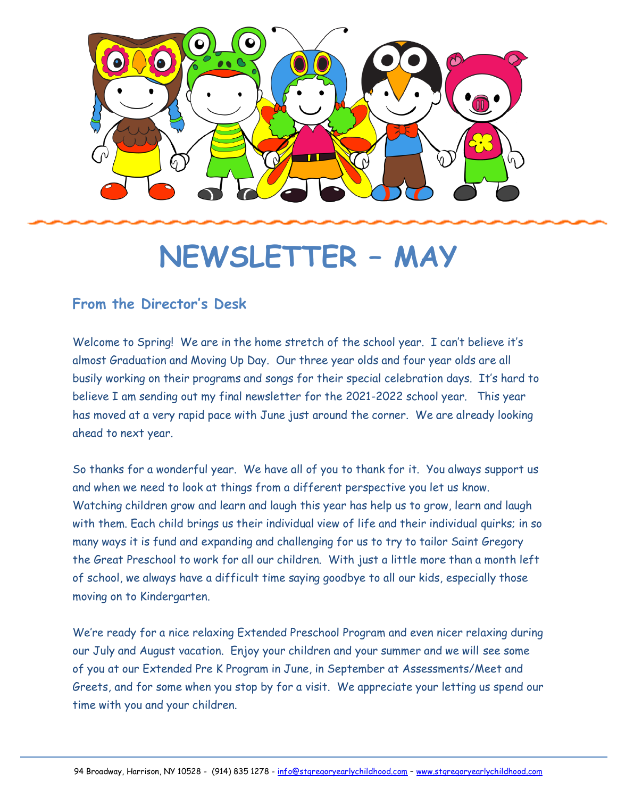

# **NEWSLETTER – MAY**

### **From the Director's Desk**

Welcome to Spring! We are in the home stretch of the school year. I can't believe it's almost Graduation and Moving Up Day. Our three year olds and four year olds are all busily working on their programs and songs for their special celebration days. It's hard to believe I am sending out my final newsletter for the 2021-2022 school year. This year has moved at a very rapid pace with June just around the corner. We are already looking ahead to next year.

So thanks for a wonderful year. We have all of you to thank for it. You always support us and when we need to look at things from a different perspective you let us know. Watching children grow and learn and laugh this year has help us to grow, learn and laugh with them. Each child brings us their individual view of life and their individual quirks; in so many ways it is fund and expanding and challenging for us to try to tailor Saint Gregory the Great Preschool to work for all our children. With just a little more than a month left of school, we always have a difficult time saying goodbye to all our kids, especially those moving on to Kindergarten.

We're ready for a nice relaxing Extended Preschool Program and even nicer relaxing during our July and August vacation. Enjoy your children and your summer and we will see some of you at our Extended Pre K Program in June, in September at Assessments/Meet and Greets, and for some when you stop by for a visit. We appreciate your letting us spend our time with you and your children.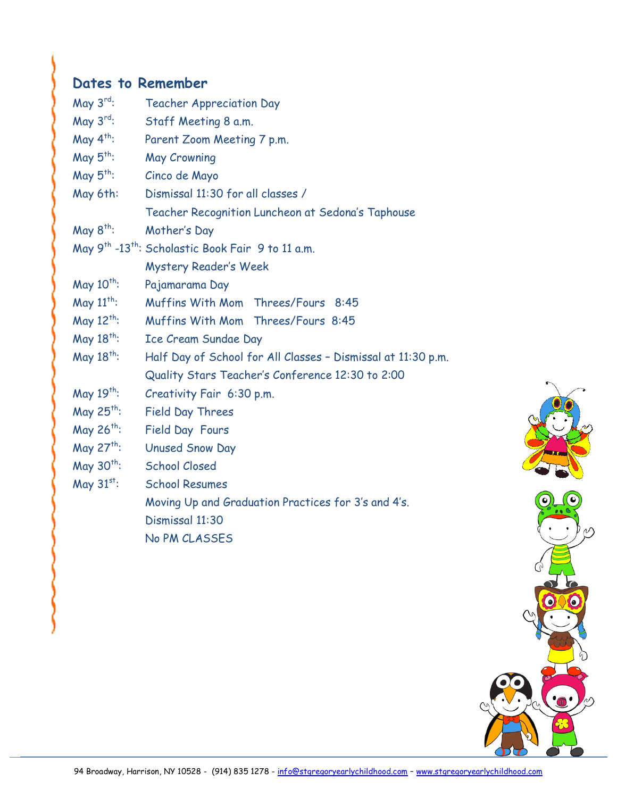# **Dates to Remember**

| May $3^{rd}$ :         | <b>Teacher Appreciation Day</b>                                           |
|------------------------|---------------------------------------------------------------------------|
| May $3^{\text{rd}}$ :  | Staff Meeting 8 a.m.                                                      |
| May $4^{th}$ :         | Parent Zoom Meeting 7 p.m.                                                |
| May $5^{th}$ :         | <b>May Crowning</b>                                                       |
| May $5^{th}$ :         | Cinco de Mayo                                                             |
| May 6th:               | Dismissal 11:30 for all classes /                                         |
|                        | Teacher Recognition Luncheon at Sedona's Taphouse                         |
| May $8^{th}$ :         | Mother's Day                                                              |
|                        | May 9 <sup>th</sup> -13 <sup>th</sup> : Scholastic Book Fair 9 to 11 a.m. |
|                        | <b>Mystery Reader's Week</b>                                              |
| May $10^{th}$ :        | Pajamarama Day                                                            |
| May $11^{th}$ :        | Muffins With Mom Threes/Fours 8:45                                        |
| May $12^{th}$ :        | Muffins With Mom Threes/Fours 8:45                                        |
| May 18 <sup>th</sup> : | Ice Cream Sundae Day                                                      |
| May 18 <sup>th</sup> : | Half Day of School for All Classes - Dismissal at 11:30 p.m.              |
|                        | Quality Stars Teacher's Conference 12:30 to 2:00                          |
| May $19^{th}$ :        | Creativity Fair 6:30 p.m.                                                 |
| May $25^{th}$ :        | <b>Field Day Threes</b>                                                   |
| May 26 <sup>th</sup> : | Field Day Fours                                                           |
| May 27 <sup>th</sup> : | <b>Unused Snow Day</b>                                                    |
| May $30^{th}$ :        | <b>School Closed</b>                                                      |
| May $31^{st}$ :        | <b>School Resumes</b>                                                     |
|                        | Moving Up and Graduation Practices for 3's and 4's.                       |
|                        | Dismissal 11:30                                                           |

No PM CLASSES

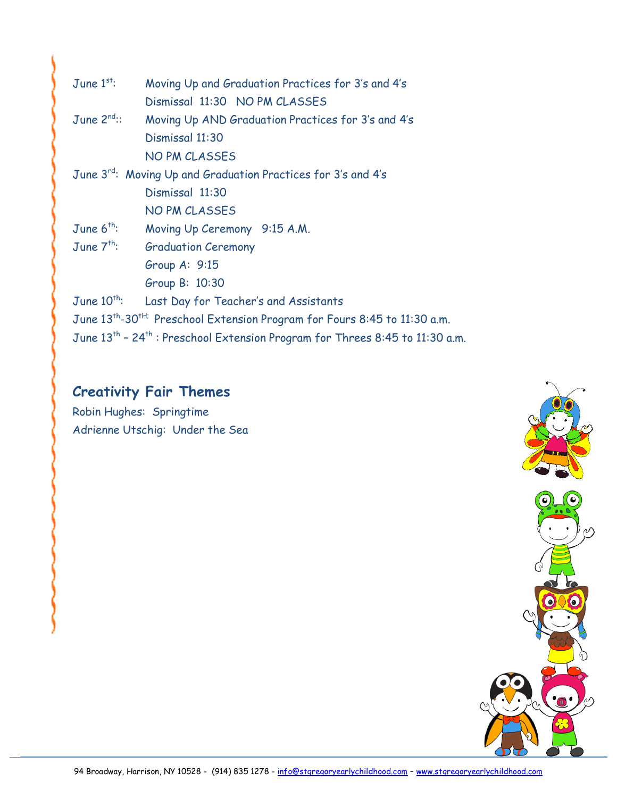| June $1^{st}$ :                                                                                      | Moving Up and Graduation Practices for 3's and 4's |
|------------------------------------------------------------------------------------------------------|----------------------------------------------------|
|                                                                                                      | Dismissal 11:30 NO PM CLASSES                      |
| June $2^{nd}$ :                                                                                      | Moving Up AND Graduation Practices for 3's and 4's |
|                                                                                                      | Dismissal 11:30                                    |
|                                                                                                      | <b>NO PM CLASSES</b>                               |
| June 3rd: Moving Up and Graduation Practices for 3's and 4's                                         |                                                    |
|                                                                                                      | Dismissal 11:30                                    |
|                                                                                                      | <b>NO PM CLASSES</b>                               |
| June $6^{th}$ :                                                                                      | Moving Up Ceremony 9:15 A.M.                       |
| June $7^{th}$ :                                                                                      | <b>Graduation Ceremony</b>                         |
|                                                                                                      | Group $A: 9:15$                                    |
|                                                                                                      | Group B: 10:30                                     |
| June $10^{th}$ :                                                                                     | Last Day for Teacher's and Assistants              |
| June 13 <sup>th</sup> -30 <sup>tH;</sup> Preschool Extension Program for Fours 8:45 to 11:30 a.m.    |                                                    |
| June 13 <sup>th</sup> - 24 <sup>th</sup> : Preschool Extension Program for Threes 8:45 to 11:30 a.m. |                                                    |

# **Creativity Fair Themes**

Robin Hughes: Springtime Adrienne Utschig: Under the Sea

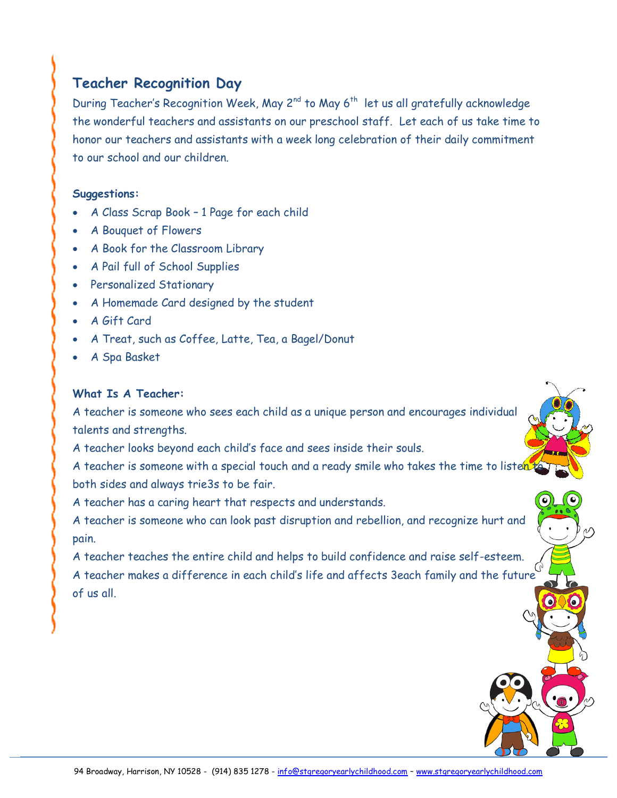## **Teacher Recognition Day**

During Teacher's Recognition Week, May 2<sup>nd</sup> to May 6<sup>th</sup> let us all gratefully acknowledge the wonderful teachers and assistants on our preschool staff. Let each of us take time to honor our teachers and assistants with a week long celebration of their daily commitment to our school and our children.

#### **Suggestions:**

- A Class Scrap Book 1 Page for each child
- A Bouquet of Flowers
- A Book for the Classroom Library
- A Pail full of School Supplies
- Personalized Stationary
- A Homemade Card designed by the student
- A Gift Card
- A Treat, such as Coffee, Latte, Tea, a Bagel/Donut
- A Spa Basket

#### **What Is A Teacher:**

A teacher is someone who sees each child as a unique person and encourages individual talents and strengths.

A teacher looks beyond each child's face and sees inside their souls.

A teacher is someone with a special touch and a ready smile who takes the time to listen both sides and always trie3s to be fair.

A teacher has a caring heart that respects and understands.

A teacher is someone who can look past disruption and rebellion, and recognize hurt and pain.

A teacher teaches the entire child and helps to build confidence and raise self-esteem. A teacher makes a difference in each child's life and affects 3each family and the future of us all.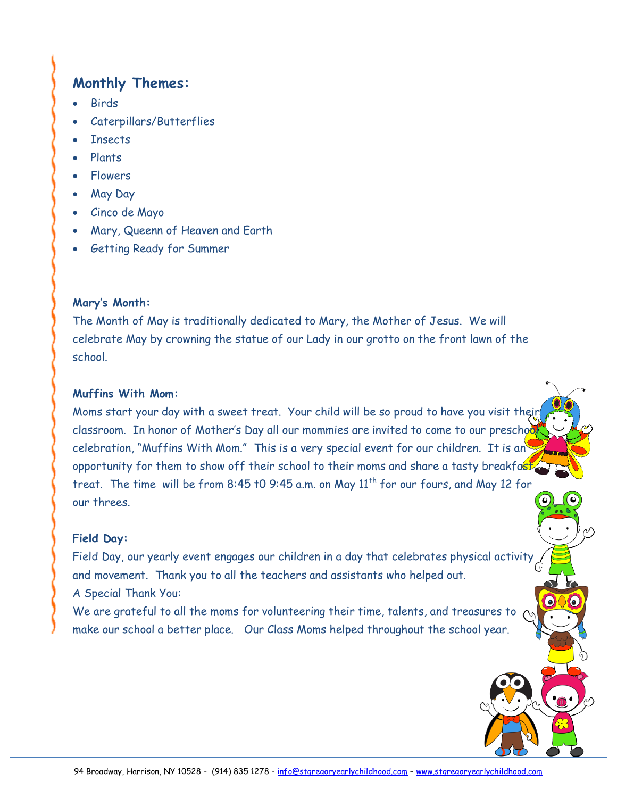## **Monthly Themes:**

- Birds
- Caterpillars/Butterflies
- **Insects**
- Plants
- Flowers
- May Day
- Cinco de Mayo
- Mary, Queenn of Heaven and Earth
- Getting Ready for Summer

#### **Mary's Month:**

The Month of May is traditionally dedicated to Mary, the Mother of Jesus. We will celebrate May by crowning the statue of our Lady in our grotto on the front lawn of the school.

#### **Muffins With Mom:**

Moms start your day with a sweet treat. Your child will be so proud to have you visit their classroom. In honor of Mother's Day all our mommies are invited to come to our preschod celebration, "Muffins With Mom." This is a very special event for our children. It is an opportunity for them to show off their school to their moms and share a tasty breakfast treat. The time will be from 8:45 t0 9:45 a.m. on May  $11<sup>th</sup>$  for our fours, and May 12 for our threes.

#### **Field Day:**

Field Day, our yearly event engages our children in a day that celebrates physical activity and movement. Thank you to all the teachers and assistants who helped out. A Special Thank You:

We are grateful to all the moms for volunteering their time, talents, and treasures to make our school a better place. Our Class Moms helped throughout the school year.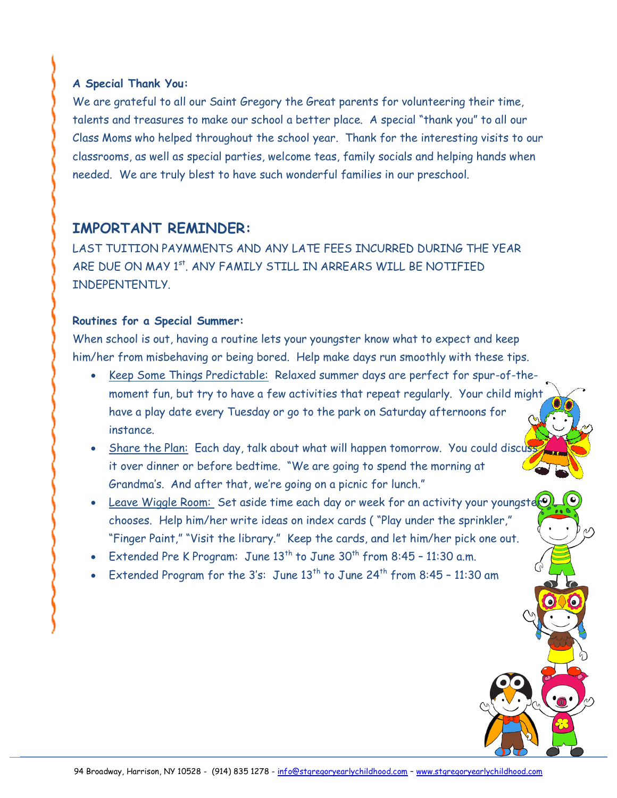#### **A Special Thank You:**

We are grateful to all our Saint Gregory the Great parents for volunteering their time, talents and treasures to make our school a better place. A special "thank you" to all our Class Moms who helped throughout the school year. Thank for the interesting visits to our classrooms, as well as special parties, welcome teas, family socials and helping hands when needed. We are truly blest to have such wonderful families in our preschool.

#### **IMPORTANT REMINDER:**

LAST TUITION PAYMMENTS AND ANY LATE FEES INCURRED DURING THE YEAR ARE DUE ON MAY 1<sup>st</sup>. ANY FAMILY STILL IN ARREARS WILL BE NOTIFIED INDEPENTENTLY.

#### **Routines for a Special Summer:**

When school is out, having a routine lets your youngster know what to expect and keep him/her from misbehaving or being bored. Help make days run smoothly with these tips.

- Keep Some Things Predictable: Relaxed summer days are perfect for spur-of-themoment fun, but try to have a few activities that repeat regularly. Your child might have a play date every Tuesday or go to the park on Saturday afternoons for instance.
- Share the Plan: Each day, talk about what will happen tomorrow. You could discuss it over dinner or before bedtime. "We are going to spend the morning at Grandma's. And after that, we're going on a picnic for lunch."
- Leave Wiggle Room: Set aside time each day or week for an activity your youngster chooses. Help him/her write ideas on index cards ( "Play under the sprinkler," "Finger Paint," "Visit the library." Keep the cards, and let him/her pick one out.
- Extended Pre K Program: June  $13^{th}$  to June  $30^{th}$  from  $8:45$   $11:30$  a.m.
- Extended Program for the 3's: June  $13^{th}$  to June  $24^{th}$  from  $8:45$  11:30 am